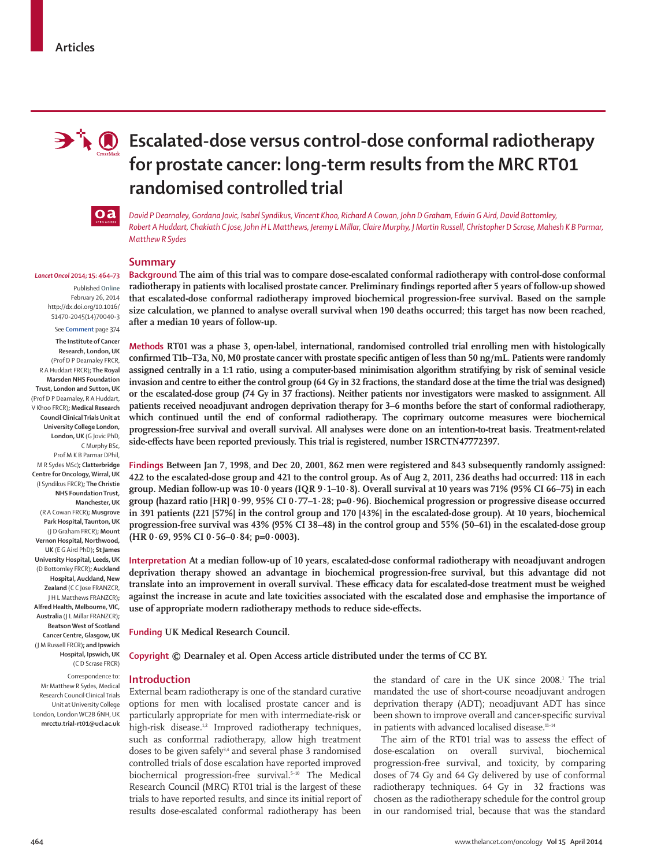

# **Escalated-dose versus control-dose conformal radiotherapy for prostate cancer: long-term results from the MRC RT01 randomised controlled trial**



*David P Dearnaley, Gordana Jovic, Isabel Syndikus, Vincent Khoo, Richard A Cowan, John D Graham, Edwin G Aird, David Bottomley, Robert A Huddart, Chakiath C Jose, John H L Matthews, Jeremy L Millar, Claire Murphy, J Martin Russell, Christopher D Scrase, Mahesh K B Parmar, Matthew R Sydes*

#### *Lancet Oncol* **2014; 15: 464–73**

Published **Online** February 26, 2014 http://dx.doi.org/10.1016/ S1470-2045(14)70040-3

# See **Comment** page 374

**The Institute of Cancer Research, London, UK**  (Prof D P Dearnaley FRCR, R A Huddart FRCR)**; The Royal Marsden NHS Foundation Trust, London and Sutton, UK** (Prof D P Dearnaley, R A Huddart, V Khoo FRCR)**; Medical Research Council Clinical Trials Unit at University College London, London, UK** (G Jovic PhD, C Murphy BSc, Prof M K B Parmar DPhil, M R Sydes MSc)**; Clatterbridge Centre for Oncology, Wirral, UK** (I Syndikus FRCR)**; The Christie NHS Foundation Trust, Manchester, UK**  (R A Cowan FRCR)**; Musgrove Park Hospital, Taunton, UK** (J D Graham FRCR)**; Mount Vernon Hospital, Northwood, UK** (E G Aird PhD)**; St James University Hospital, Leeds, UK**  (D Bottomley FRCR)**; Auckland Hospital, Auckland, New Zealand** (C C Jose FRANZCR, J H L Matthews FRANZCR)**; Alfred Health, Melbourne, VIC, Australia** (J L Millar FRANZCR)**; Beatson West of Scotland Cancer Centre, Glasgow, UK**  (J M Russell FRCR)**; and Ipswich Hospital, Ipswich, UK** 

(C D Scrase FRCR)

Correspondence to: Mr Matthew R Sydes, Medical Research Council Clinical Trials Unit at University College London, London WC2B 6NH, UK **mrcctu.trial-rt01@ucl.ac.uk** **Summary**

**Background The aim of this trial was to compare dose-escalated conformal radiotherapy with control-dose conformal**  radiotherapy in patients with localised prostate cancer. Preliminary findings reported after 5 years of follow-up showed **that escalated-dose conformal radiotherapy improved biochemical progression-free survival. Based on the sample size calculation, we planned to analyse overall survival when 190 deaths occurred; this target has now been reached, after a median 10 years of follow-up.**

**Methods RT01 was a phase 3, open-label, international, randomised controlled trial enrolling men with histologically**  confirmed T1b–T3a, N0, M0 prostate cancer with prostate specific antigen of less than 50 ng/mL. Patients were randomly **assigned centrally in a 1:1 ratio, using a computer-based minimisation algorithm stratifying by risk of seminal vesicle invasion and centre to either the control group (64 Gy in 32 fractions, the standard dose at the time the trial was designed) or the escalated-dose group (74 Gy in 37 fractions). Neither patients nor investigators were masked to assignment. All patients received neoadjuvant androgen deprivation therapy for 3–6 months before the start of conformal radiotherapy, which continued until the end of conformal radiotherapy. The coprimary outcome measures were biochemical progression-free survival and overall survival. All analyses were done on an intention-to-treat basis. Treatment-related**  side-effects have been reported previously. This trial is registered, number ISRCTN47772397.

**Findings Between Jan 7, 1998, and Dec 20, 2001, 862 men were registered and 843 subsequently randomly assigned: 422 to the escalated-dose group and 421 to the control group. As of Aug 2, 2011, 236 deaths had occurred: 118 in each group. Median follow-up was 10·0 years (IQR 9·1–10·8). Overall survival at 10 years was 71% (95% CI 66–75) in each group (hazard ratio [HR] 0·99, 95% CI 0·77–1·28; p=0·96). Biochemical progression or progressive disease occurred in 391 patients (221 [57%] in the control group and 170 [43%] in the escalated-dose group). At 10 years, biochemical progression-free survival was 43% (95% CI 38–48) in the control group and 55% (50–61) in the escalated-dose group (HR 0·69, 95% CI 0·56–0·84; p=0·0003).**

**Interpretation At a median follow-up of 10 years, escalated-dose conformal radiotherapy with neoadjuvant androgen deprivation therapy showed an advantage in biochemical progression-free survival, but this advantage did not**  translate into an improvement in overall survival. These efficacy data for escalated-dose treatment must be weighed **against the increase in acute and late toxicities associated with the escalated dose and emphasise the importance of**  use of appropriate modern radiotherapy methods to reduce side-effects.

**Funding UK Medical Research Council.**

**Copyright © Dearnaley et al. Open Access article distributed under the terms of CC BY.**

#### **Introduction**

External beam radiotherapy is one of the standard curative options for men with localised prostate cancer and is particularly appropriate for men with intermediate-risk or high-risk disease.<sup>1,2</sup> Improved radiotherapy techniques, such as conformal radiotherapy, allow high treatment doses to be given safely<sup>3,4</sup> and several phase 3 randomised controlled trials of dose escalation have reported improved biochemical progression-free survival.<sup>5-10</sup> The Medical Research Council (MRC) RT01 trial is the largest of these trials to have reported results, and since its initial report of results dose-escalated conformal radiotherapy has been

the standard of care in the UK since 2008.<sup>1</sup> The trial mandated the use of short-course neoadjuvant androgen deprivation therapy (ADT); neoadjuvant ADT has since been shown to improve overall and cancer-specific survival in patients with advanced localised disease.<sup>11-14</sup>

The aim of the RT01 trial was to assess the effect of dose-escalation on overall survival, biochemical progression-free survival, and toxicity, by comparing doses of 74 Gy and 64 Gy delivered by use of conformal radiotherapy techniques. 64 Gy in 32 fractions was chosen as the radiotherapy schedule for the control group in our randomised trial, because that was the standard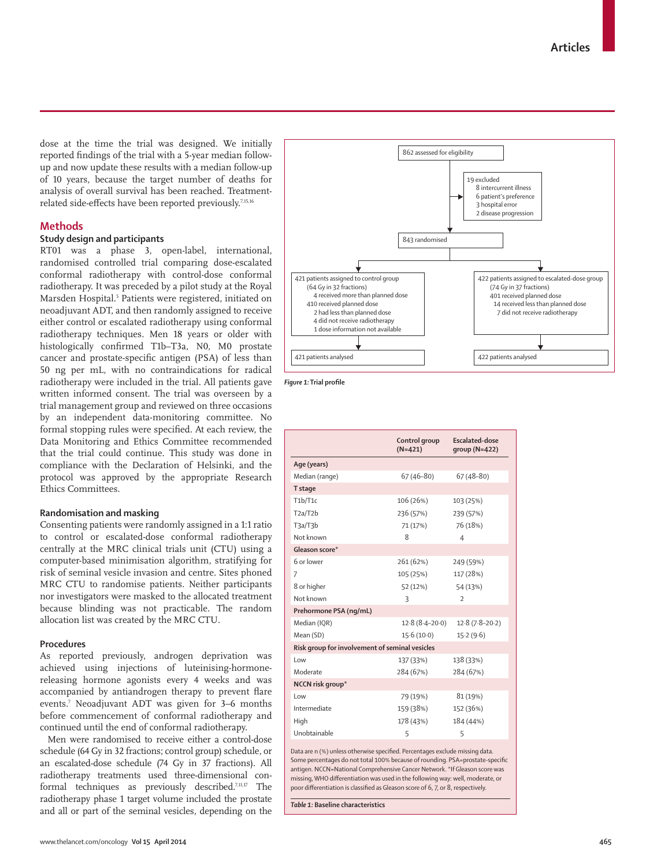dose at the time the trial was designed. We initially reported findings of the trial with a 5-year median followup and now update these results with a median follow-up of 10 years, because the target number of deaths for analysis of overall survival has been reached. Treatmentrelated side-effects have been reported previously.<sup>7,15,16</sup>

# **Methods**

# **Study design and participants**

RT01 was a phase 3, open-label, international, randomised controlled trial comparing dose-escalated conformal radiotherapy with control-dose conformal radiotherapy. It was preceded by a pilot study at the Royal Marsden Hospital.<sup>5</sup> Patients were registered, initiated on neoadjuvant ADT, and then randomly assigned to receive either control or escalated radiotherapy using conformal radiotherapy techniques. Men 18 years or older with histologically confirmed T1b–T3a, N0, M0 prostate cancer and prostate-specific antigen (PSA) of less than 50 ng per mL, with no contraindications for radical radiotherapy were included in the trial. All patients gave written informed consent. The trial was overseen by a trial management group and reviewed on three occasions by an independent data-monitoring committee. No formal stopping rules were specified. At each review, the Data Monitoring and Ethics Committee recommended that the trial could continue. This study was done in compliance with the Declaration of Helsinki, and the protocol was approved by the appropriate Research Ethics Committees.

## **Randomisation and masking**

Consenting patients were randomly assigned in a 1:1 ratio to control or escalated-dose conformal radiotherapy centrally at the MRC clinical trials unit (CTU) using a computer-based minimisation algorithm, stratifying for risk of seminal vesicle invasion and centre. Sites phoned MRC CTU to randomise patients. Neither participants nor investigators were masked to the allocated treatment because blinding was not practicable. The random allocation list was created by the MRC CTU.

# **Procedures**

As reported previously, androgen deprivation was achieved using injections of luteinising-hormonereleasing hormone agonists every 4 weeks and was accompanied by antiandrogen therapy to prevent flare events.7 Neoadjuvant ADT was given for 3–6 months before commencement of conformal radiotherapy and continued until the end of conformal radiotherapy.

Men were randomised to receive either a control-dose schedule (64 Gy in 32 fractions; control group) schedule, or an escalated-dose schedule (74 Gy in 37 fractions). All radiotherapy treatments used three-dimensional conformal techniques as previously described.7,11,17 The radiotherapy phase 1 target volume included the prostate and all or part of the seminal vesicles, depending on the



*Figure 1:* Trial profile

|                                                | Control group<br>$(N=421)$ | <b>Escalated-dose</b><br>$qroup(N=422)$ |  |  |
|------------------------------------------------|----------------------------|-----------------------------------------|--|--|
| Age (years)                                    |                            |                                         |  |  |
| Median (range)                                 | $67(46 - 80)$              | $67(48-80)$                             |  |  |
| T stage                                        |                            |                                         |  |  |
| T1b/T1c                                        | 106 (26%)                  | 103 (25%)                               |  |  |
| T2a/T2b                                        | 236 (57%)                  | 239 (57%)                               |  |  |
| T3a/T3b                                        | 71 (17%)                   | 76 (18%)                                |  |  |
| Not known                                      | 8                          | $\overline{4}$                          |  |  |
| Gleason score*                                 |                            |                                         |  |  |
| 6 or lower                                     | 261 (62%)                  | 249 (59%)                               |  |  |
| 7                                              | 105 (25%)                  | 117 (28%)                               |  |  |
| 8 or higher                                    | 52 (12%)                   | 54 (13%)                                |  |  |
| Not known                                      | $\overline{\mathcal{L}}$   | $\mathcal{D}$                           |  |  |
| Prehormone PSA (ng/mL)                         |                            |                                         |  |  |
| Median (IQR)                                   | $12.8(8.4 - 20.0)$         | $12.8(7.8-20.2)$                        |  |  |
| Mean (SD)                                      | 15.6(10.0)                 | 15.2(9.6)                               |  |  |
| Risk group for involvement of seminal vesicles |                            |                                         |  |  |
| l ow                                           | 137 (33%)                  | 138 (33%)                               |  |  |
| Moderate                                       | 284 (67%)                  | 284 (67%)                               |  |  |
| NCCN risk group*                               |                            |                                         |  |  |
| Low                                            | 79 (19%)                   | 81 (19%)                                |  |  |
| Intermediate                                   | 159 (38%)                  | 152 (36%)                               |  |  |
| High                                           | 178 (43%)                  | 184 (44%)                               |  |  |
| Unobtainable                                   | 5                          | 5                                       |  |  |
|                                                |                            |                                         |  |  |

Data are n (%) unless otherwise specified. Percentages exclude missing data. Some percentages do not total 100% because of rounding. PSA=prostate-specific antigen. NCCN=National Comprehensive Cancer Network. \*If Gleason score was missing, WHO differentiation was used in the following way: well, moderate, or poor differentiation is classified as Gleason score of 6, 7, or 8, respectively.

*Table 1:* **Baseline characteristics**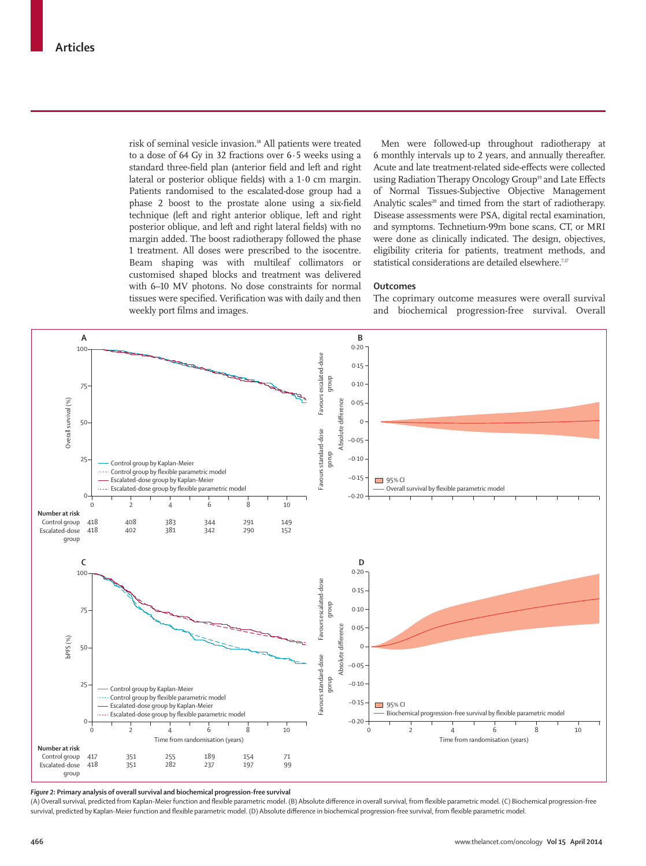risk of seminal vesicle invasion.<sup>18</sup> All patients were treated to a dose of 64 Gy in 32 fractions over 6·5 weeks using a standard three-field plan (anterior field and left and right lateral or posterior oblique fields) with a  $1.0$  cm margin. Patients randomised to the escalated-dose group had a phase 2 boost to the prostate alone using a six-field technique (left and right anterior oblique, left and right posterior oblique, and left and right lateral fields) with no margin added. The boost radiotherapy followed the phase 1 treatment. All doses were prescribed to the isocentre. Beam shaping was with multileaf collimators or customised shaped blocks and treatment was delivered with 6–10 MV photons. No dose constraints for normal tissues were specified. Verification was with daily and then weekly port films and images.

Men were followed-up throughout radiotherapy at 6 monthly intervals up to 2 years, and annually thereafter. Acute and late treatment-related side-effects were collected using Radiation Therapy Oncology Group<sup>19</sup> and Late Effects of Normal Tissues-Subjective Objective Management Analytic scales<sup>20</sup> and timed from the start of radiotherapy. Disease assessments were PSA, digital rectal examination, and symptoms. Technetium-99m bone scans, CT, or MRI were done as clinically indicated. The design, objectives, eligibility criteria for patients, treatment methods, and statistical considerations are detailed elsewhere.<sup>7,17</sup>

#### **Outcomes**

The coprimary outcome measures were overall survival and biochemical progression-free survival. Overall



*Figure 2:* **Primary analysis of overall survival and biochemical progression-free survival**

(A) Overall survival, predicted from Kaplan-Meier function and flexible parametric model. (B) Absolute difference in overall survival, from flexible parametric model. (C) Biochemical progression-free survival, predicted by Kaplan-Meier function and flexible parametric model. (D) Absolute difference in biochemical progression-free survival, from flexible parametric model.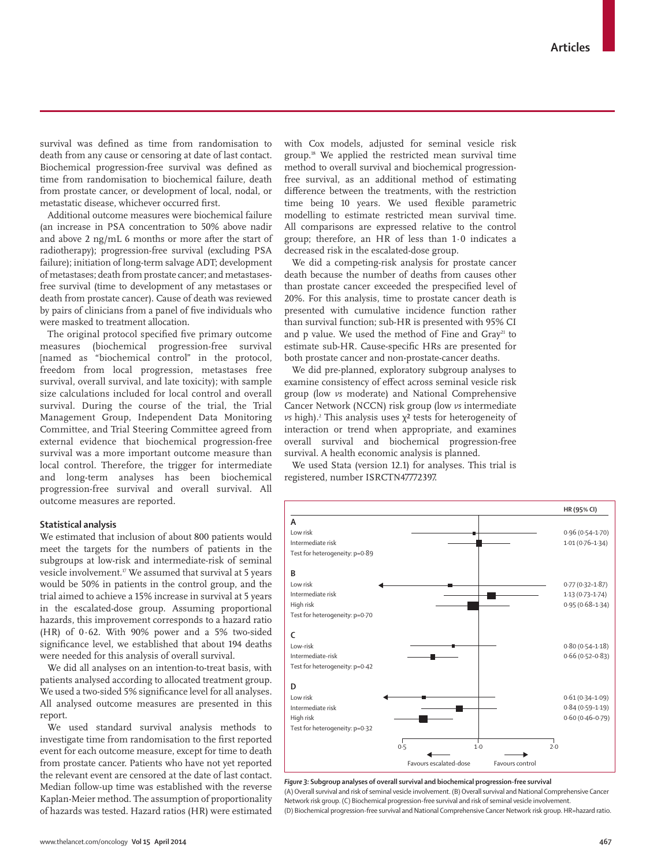survival was defined as time from randomisation to death from any cause or censoring at date of last contact. Biochemical progression-free survival was defined as time from randomisation to biochemical failure, death from prostate cancer, or development of local, nodal, or metastatic disease, whichever occurred first.

Additional outcome measures were biochemical failure (an increase in PSA concentration to 50% above nadir and above 2 ng/mL 6 months or more after the start of radiotherapy); progression-free survival (excluding PSA failure); initiation of long-term salvage ADT; development of metastases; death from prostate cancer; and metastasesfree survival (time to development of any metastases or death from prostate cancer). Cause of death was reviewed by pairs of clinicians from a panel of five individuals who were masked to treatment allocation.

The original protocol specified five primary outcome measures (biochemical progression-free survival [named as "biochemical control" in the protocol, freedom from local progression, metastases free survival, overall survival, and late toxicity); with sample size calculations included for local control and overall survival. During the course of the trial, the Trial Management Group, Independent Data Monitoring Committee, and Trial Steering Committee agreed from external evidence that biochemical progression-free survival was a more important outcome measure than local control. Therefore, the trigger for intermediate and long-term analyses has been biochemical progression-free survival and overall survival. All outcome measures are reported.

#### **Statistical analysis**

We estimated that inclusion of about 800 patients would meet the targets for the numbers of patients in the subgroups at low-risk and intermediate-risk of seminal vesicle involvement.<sup>17</sup> We assumed that survival at 5 years would be 50% in patients in the control group, and the trial aimed to achieve a 15% increase in survival at 5 years in the escalated-dose group. Assuming proportional hazards, this improvement corresponds to a hazard ratio (HR) of 0·62. With 90% power and a 5% two-sided significance level, we established that about 194 deaths were needed for this analysis of overall survival.

We did all analyses on an intention-to-treat basis, with patients analysed according to allocated treatment group. We used a two-sided 5% significance level for all analyses. All analysed outcome measures are presented in this report.

We used standard survival analysis methods to investigate time from randomisation to the first reported event for each outcome measure, except for time to death from prostate cancer. Patients who have not yet reported the relevant event are censored at the date of last contact. Median follow-up time was established with the reverse Kaplan-Meier method. The assumption of proportionality of hazards was tested. Hazard ratios (HR) were estimated with Cox models, adjusted for seminal vesicle risk group.18 We applied the restricted mean survival time method to overall survival and biochemical progressionfree survival, as an additional method of estimating difference between the treatments, with the restriction time being 10 years. We used flexible parametric modelling to estimate restricted mean survival time. All comparisons are expressed relative to the control group; therefore, an HR of less than 1·0 indicates a decreased risk in the escalated-dose group.

We did a competing-risk analysis for prostate cancer death because the number of deaths from causes other than prostate cancer exceeded the prespecified level of 20%. For this analysis, time to prostate cancer death is presented with cumulative incidence function rather than survival function; sub-HR is presented with 95% CI and p value. We used the method of Fine and Gray<sup>21</sup> to estimate sub-HR. Cause-specific HRs are presented for both prostate cancer and non-prostate-cancer deaths.

We did pre-planned, exploratory subgroup analyses to examine consistency of effect across seminal vesicle risk group (low *vs* moderate) and National Comprehensive Cancer Network (NCCN) risk group (low *vs* intermediate  $\nu s$  high).<sup>2</sup> This analysis uses  $\chi^2$  tests for heterogeneity of interaction or trend when appropriate, and examines overall survival and biochemical progression-free survival. A health economic analysis is planned.

We used Stata (version 12.1) for analyses. This trial is registered, number ISRCTN47772397.



*Figure 3:* **Subgroup analyses of overall survival and biochemical progression-free survival** (A) Overall survival and risk of seminal vesicle involvement. (B) Overall survival and National Comprehensive Cancer Network risk group. (C) Biochemical progression-free survival and risk of seminal vesicle involvement. (D) Biochemical progression-free survival and National Comprehensive Cancer Network risk group. HR=hazard ratio.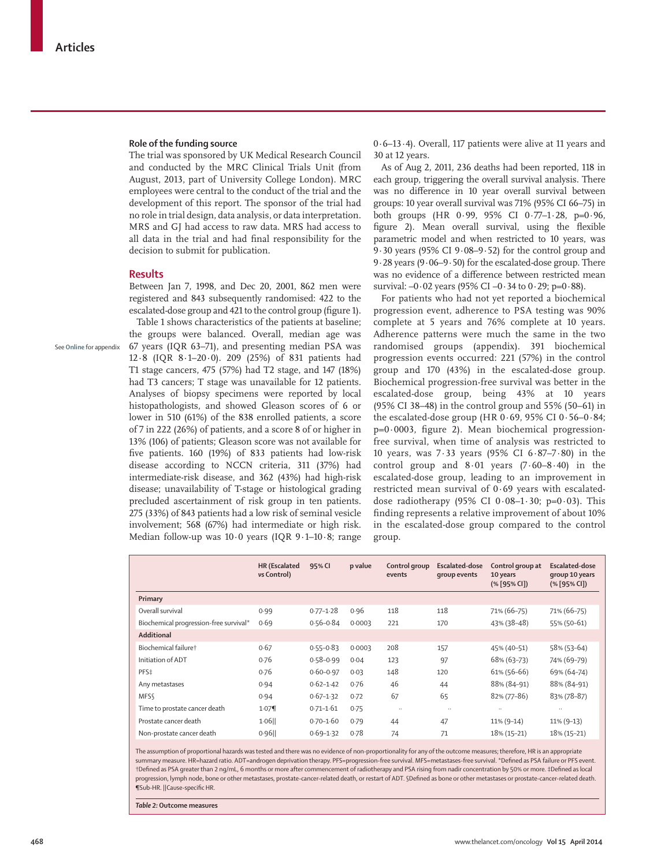See **Online** for appendix

#### **Role of the funding source**

The trial was sponsored by UK Medical Research Council and conducted by the MRC Clinical Trials Unit (from August, 2013, part of University College London). MRC employees were central to the conduct of the trial and the development of this report. The sponsor of the trial had no role in trial design, data analysis, or data interpretation. MRS and GJ had access to raw data. MRS had access to all data in the trial and had final responsibility for the decision to submit for publication.

### **Results**

Between Jan 7, 1998, and Dec 20, 2001, 862 men were registered and 843 subsequently randomised: 422 to the escalated-dose group and 421 to the control group (figure 1).

Table 1 shows characteristics of the patients at baseline; the groups were balanced. Overall, median age was 67 years (IQR 63–71), and presenting median PSA was 12·8 (IQR 8·1–20·0). 209 (25%) of 831 patients had T1 stage cancers, 475 (57%) had T2 stage, and 147 (18%) had T3 cancers; T stage was unavailable for 12 patients. Analyses of biopsy specimens were reported by local histopathologists, and showed Gleason scores of 6 or lower in 510 (61%) of the 838 enrolled patients, a score of 7 in 222 (26%) of patients, and a score 8 of or higher in 13% (106) of patients; Gleason score was not available for five patients. 160 (19%) of 833 patients had low-risk disease according to NCCN criteria, 311 (37%) had intermediate-risk disease, and 362 (43%) had high-risk disease; unavailability of T-stage or histological grading precluded ascertainment of risk group in ten patients. 275 (33%) of 843 patients had a low risk of seminal vesicle involvement; 568 (67%) had intermediate or high risk. Median follow-up was 10·0 years (IQR 9·1–10·8; range 0·6–13·4). Overall, 117 patients were alive at 11 years and 30 at 12 years.

As of Aug 2, 2011, 236 deaths had been reported, 118 in each group, triggering the overall survival analysis. There was no difference in 10 year overall survival between groups: 10 year overall survival was 71% (95% CI 66–75) in both groups (HR 0·99, 95% CI 0·77–1·28, p=0·96, figure 2). Mean overall survival, using the flexible parametric model and when restricted to 10 years, was 9·30 years (95% CI 9·08–9·52) for the control group and 9·28 years (9·06–9·50) for the escalated-dose group. There was no evidence of a difference between restricted mean survival:  $-0.02$  years (95% CI  $-0.34$  to  $0.29$ ; p= $0.88$ ).

For patients who had not yet reported a biochemical progression event, adherence to PSA testing was 90% complete at 5 years and 76% complete at 10 years. Adherence patterns were much the same in the two randomised groups (appendix). 391 biochemical progression events occurred: 221 (57%) in the control group and 170 (43%) in the escalated-dose group. Biochemical progression-free survival was better in the escalated-dose group, being 43% at 10 years (95% CI 38–48) in the control group and 55% (50–61) in the escalated-dose group (HR 0·69, 95% CI 0·56–0·84; p=0·0003, figure 2). Mean biochemical progressionfree survival, when time of analysis was restricted to 10 years, was 7·33 years (95% CI 6·87–7·80) in the control group and  $8.01$  years  $(7.60 - 8.40)$  in the escalated-dose group, leading to an improvement in restricted mean survival of 0·69 years with escalateddose radiotherapy (95% CI  $0.08-1.30$ ; p=0.03). This finding represents a relative improvement of about 10% in the escalated-dose group compared to the control group.

|                                        | HR (Escalated<br>vs Control) | 95% CI        | p value | Control group<br>events | Escalated-dose<br>group events | Control group at<br>10 years<br>$(% \mathbb{R}^2)$ (% [95% CI]) | <b>Escalated-dose</b><br>group 10 years<br>$(% \mathbb{R}^2)$ (% [95% CI]) |
|----------------------------------------|------------------------------|---------------|---------|-------------------------|--------------------------------|-----------------------------------------------------------------|----------------------------------------------------------------------------|
| Primary                                |                              |               |         |                         |                                |                                                                 |                                                                            |
| Overall survival                       | 0.99                         | $0.77 - 1.28$ | 0.96    | 118                     | 118                            | 71% (66-75)                                                     | 71% (66-75)                                                                |
| Biochemical progression-free survival* | 0.69                         | $0.56 - 0.84$ | 0.0003  | 221                     | 170                            | 43% (38-48)                                                     | 55% (50-61)                                                                |
| Additional                             |                              |               |         |                         |                                |                                                                 |                                                                            |
| Biochemical failuret                   | 0.67                         | $0.55 - 0.83$ | 0.0003  | 208                     | 157                            | 45% (40-51)                                                     | 58% (53-64)                                                                |
| Initiation of ADT                      | 0.76                         | $0.58 - 0.99$ | 0.04    | 123                     | 97                             | 68% (63-73)                                                     | 74% (69-79)                                                                |
| PFS‡                                   | 0.76                         | $0.60 - 0.97$ | 0.03    | 148                     | 120                            | $61\%$ (56-66)                                                  | 69% (64-74)                                                                |
| Any metastases                         | 0.94                         | $0.62 - 1.42$ | 0.76    | 46                      | 44                             | 88% (84-91)                                                     | 88% (84-91)                                                                |
| <b>MFSS</b>                            | 0.94                         | $0.67 - 1.32$ | 0.72    | 67                      | 65                             | 82% (77-86)                                                     | 83% (78-87)                                                                |
| Time to prostate cancer death          | 1.07                         | $0.71 - 1.61$ | 0.75    | $\ddotsc$               | $\cdot \cdot$                  |                                                                 |                                                                            |
| Prostate cancer death                  | $1.06$                       | $0.70 - 1.60$ | 0.79    | 44                      | 47                             | $11\% (9-14)$                                                   | $11\% (9-13)$                                                              |
| Non-prostate cancer death              | 0.96                         | $0.69 - 1.32$ | 0.78    | 74                      | 71                             | $18% (15-21)$                                                   | 18% (15-21)                                                                |

The assumption of proportional hazards was tested and there was no evidence of non-proportionality for any of the outcome measures; therefore, HR is an appropriate summary measure. HR=hazard ratio. ADT=androgen deprivation therapy. PFS=progression-free survival. MFS=metastases-free survival. \*Defined as PSA failure or PFS event. †Defi ned as PSA greater than 2 ng/mL, 6 months or more after commencement of radiotherapy and PSA rising from nadir concentration by 50% or more. ‡Defi ned as local progression, lymph node, bone or other metastases, prostate-cancer-related death, or restart of ADT. SDefined as bone or other metastases or prostate-cancer-related death. ¶Sub-HR. ||Cause-specifi c HR.

*Table 2:* **Outcome measures**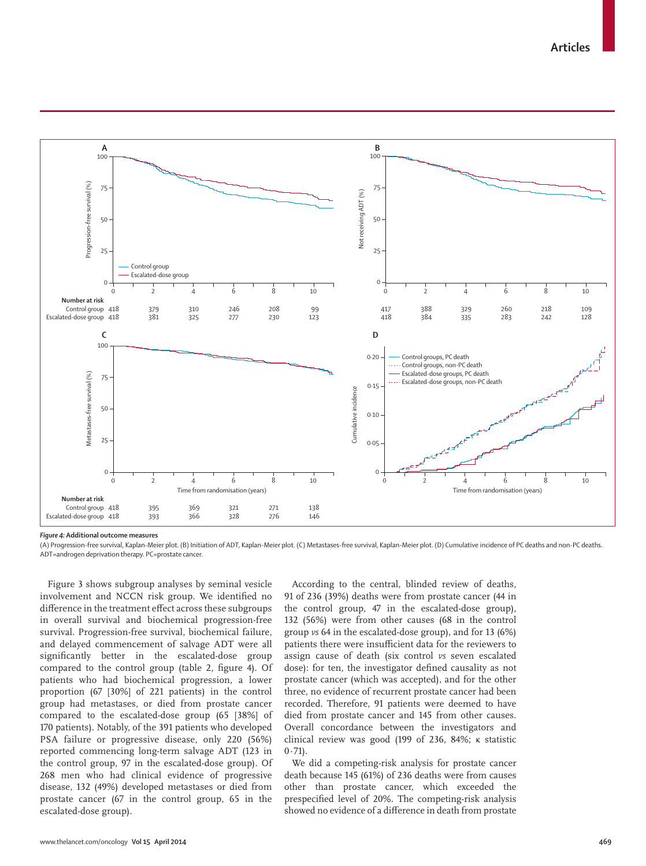

*Figure 4:* **Additional outcome measures**

(A) Progression-free survival, Kaplan-Meier plot. (B) Initiation of ADT, Kaplan-Meier plot. (C) Metastases-free survival, Kaplan-Meier plot. (D) Cumulative incidence of PC deaths and non-PC deaths. ADT=androgen deprivation therapy. PC=prostate cancer.

Figure 3 shows subgroup analyses by seminal vesicle involvement and NCCN risk group. We identified no difference in the treatment effect across these subgroups in overall survival and biochemical progression-free survival. Progression-free survival, biochemical failure, and delayed commencement of salvage ADT were all significantly better in the escalated-dose group compared to the control group (table 2, figure 4). Of patients who had biochemical progression, a lower proportion (67 [30%] of 221 patients) in the control group had metastases, or died from prostate cancer compared to the escalated-dose group (65 [38%] of 170 patients). Notably, of the 391 patients who developed PSA failure or progressive disease, only 220 (56%) reported commencing long-term salvage ADT (123 in the control group, 97 in the escalated-dose group). Of 268 men who had clinical evidence of progressive disease, 132 (49%) developed metastases or died from prostate cancer (67 in the control group, 65 in the escalated-dose group).

According to the central, blinded review of deaths, 91 of 236 (39%) deaths were from prostate cancer (44 in the control group, 47 in the escalated-dose group), 132 (56%) were from other causes (68 in the control group *vs* 64 in the escalated-dose group), and for 13 (6%) patients there were insufficient data for the reviewers to assign cause of death (six control *vs* seven escalated dose): for ten, the investigator defined causality as not prostate cancer (which was accepted), and for the other three, no evidence of recurrent prostate cancer had been recorded. Therefore, 91 patients were deemed to have died from prostate cancer and 145 from other causes. Overall concordance between the investigators and clinical review was good (199 of 236, 84%; κ statistic  $0.71$ ).

We did a competing-risk analysis for prostate cancer death because 145 (61%) of 236 deaths were from causes other than prostate cancer, which exceeded the prespecified level of 20%. The competing-risk analysis showed no evidence of a difference in death from prostate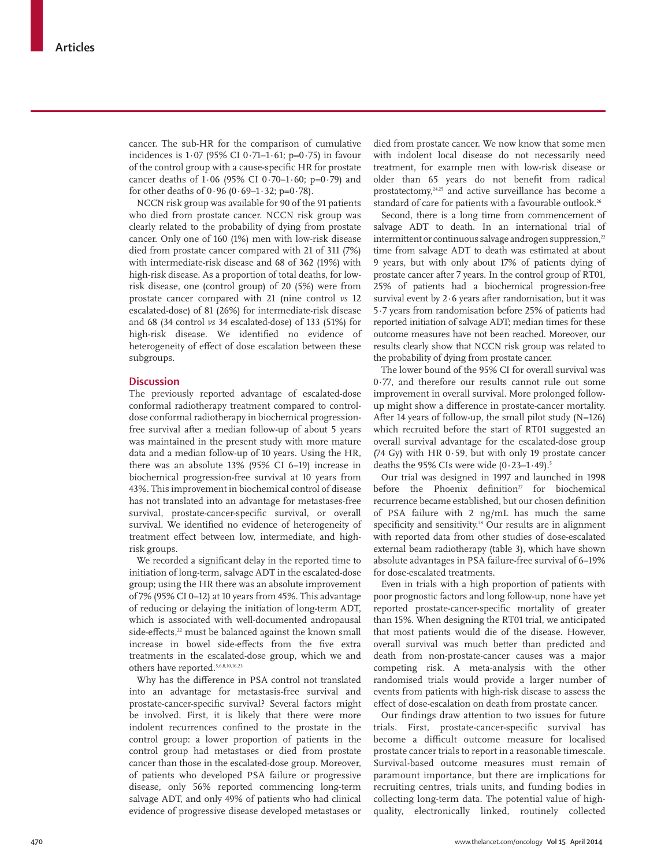cancer. The sub-HR for the comparison of cumulative incidences is 1·07 (95% CI 0·71–1·61; p=0·75) in favour of the control group with a cause-specific HR for prostate cancer deaths of  $1.06$  (95% CI 0.70– $1.60$ ; p=0.79) and for other deaths of  $0.96 (0.69-1.32; p=0.78)$ .

NCCN risk group was available for 90 of the 91 patients who died from prostate cancer. NCCN risk group was clearly related to the probability of dying from prostate cancer. Only one of 160 (1%) men with low-risk disease died from prostate cancer compared with 21 of 311 (7%) with intermediate-risk disease and 68 of 362 (19%) with high-risk disease. As a proportion of total deaths, for lowrisk disease, one (control group) of 20 (5%) were from prostate cancer compared with 21 (nine control *vs* 12 escalated-dose) of 81 (26%) for intermediate-risk disease and 68 (34 control *vs* 34 escalated-dose) of 133 (51%) for high-risk disease. We identified no evidence of heterogeneity of effect of dose escalation between these subgroups.

# **Discussion**

The previously reported advantage of escalated-dose conformal radiotherapy treatment compared to controldose conformal radiotherapy in biochemical progressionfree survival after a median follow-up of about 5 years was maintained in the present study with more mature data and a median follow-up of 10 years. Using the HR, there was an absolute 13% (95% CI 6–19) increase in biochemical progression-free survival at 10 years from 43%. This improvement in biochemical control of disease has not translated into an advantage for metastases-free survival, prostate-cancer-specific survival, or overall survival. We identified no evidence of heterogeneity of treatment effect between low, intermediate, and highrisk groups.

We recorded a significant delay in the reported time to initiation of long-term, salvage ADT in the escalated-dose group; using the HR there was an absolute improvement of 7% (95% CI 0–12) at 10 years from 45%. This advantage of reducing or delaying the initiation of long-term ADT, which is associated with well-documented andropausal side-effects,<sup>22</sup> must be balanced against the known small increase in bowel side-effects from the five extra treatments in the escalated-dose group, which we and others have reported.5,6,8,10,16,23

Why has the difference in PSA control not translated into an advantage for metastasis-free survival and prostate-cancer-specific survival? Several factors might be involved. First, it is likely that there were more indolent recurrences confined to the prostate in the control group: a lower proportion of patients in the control group had metastases or died from prostate cancer than those in the escalated-dose group. Moreover, of patients who developed PSA failure or progressive disease, only 56% reported commencing long-term salvage ADT, and only 49% of patients who had clinical evidence of progressive disease developed metastases or died from prostate cancer. We now know that some men with indolent local disease do not necessarily need treatment, for example men with low-risk disease or older than 65 years do not benefit from radical prostatectomy, 24,25 and active surveillance has become a standard of care for patients with a favourable outlook.<sup>26</sup>

Second, there is a long time from commencement of salvage ADT to death. In an international trial of intermittent or continuous salvage androgen suppression,<sup>22</sup> time from salvage ADT to death was estimated at about 9 years, but with only about 17% of patients dying of prostate cancer after 7 years. In the control group of RT01, 25% of patients had a biochemical progression-free survival event by 2·6 years after randomisation, but it was 5·7 years from randomisation before 25% of patients had reported initiation of salvage ADT; median times for these outcome measures have not been reached. Moreover, our results clearly show that NCCN risk group was related to the probability of dying from prostate cancer.

The lower bound of the 95% CI for overall survival was 0·77, and therefore our results cannot rule out some improvement in overall survival. More prolonged followup might show a difference in prostate-cancer mortality. After 14 years of follow-up, the small pilot study (N=126) which recruited before the start of RT01 suggested an overall survival advantage for the escalated-dose group (74 Gy) with HR  $0.59$ , but with only 19 prostate cancer deaths the 95% CIs were wide  $(0.23-1.49).5$ 

Our trial was designed in 1997 and launched in 1998 before the Phoenix definition<sup>27</sup> for biochemical recurrence became established, but our chosen definition of PSA failure with 2 ng/mL has much the same specificity and sensitivity.<sup>28</sup> Our results are in alignment with reported data from other studies of dose-escalated external beam radiotherapy (table 3), which have shown absolute advantages in PSA failure-free survival of 6–19% for dose-escalated treatments.

Even in trials with a high proportion of patients with poor prognostic factors and long follow-up, none have yet reported prostate-cancer-specific mortality of greater than 15%. When designing the RT01 trial, we anticipated that most patients would die of the disease. However, overall survival was much better than predicted and death from non-prostate-cancer causes was a major competing risk. A meta-analysis with the other randomised trials would provide a larger number of events from patients with high-risk disease to assess the effect of dose-escalation on death from prostate cancer.

Our findings draw attention to two issues for future trials. First, prostate-cancer-specific survival has become a difficult outcome measure for localised prostate cancer trials to report in a reasonable timescale. Survival-based outcome measures must remain of paramount importance, but there are implications for recruiting centres, trials units, and funding bodies in collecting long-term data. The potential value of highquality, electronically linked, routinely collected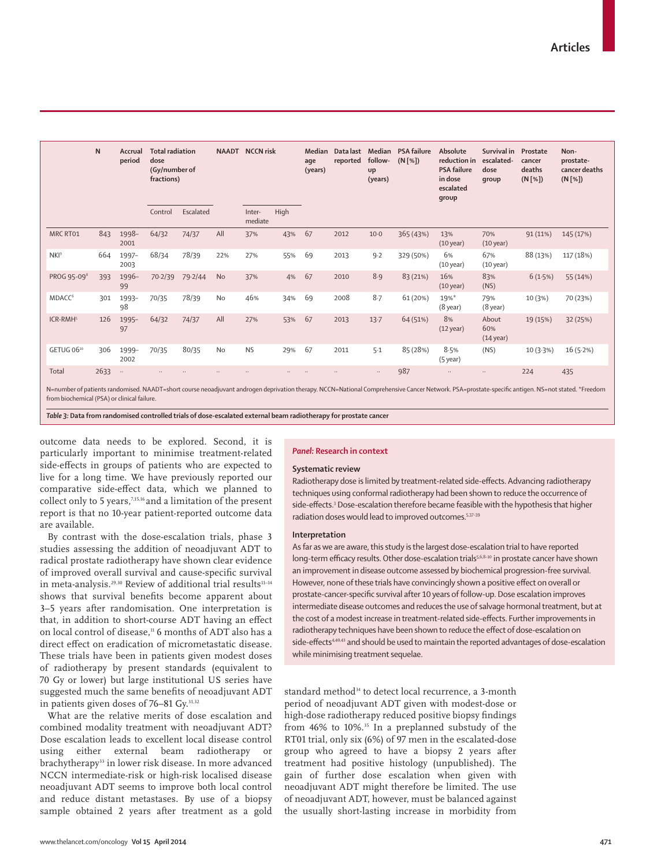|                                                                                                                                                                                                           | N    | Accrual<br>period | <b>Total radiation</b><br>dose<br>(Gy/number of<br>fractions) |           | <b>NAADT</b> NCCN risk |                   | Median<br>age<br>(years) | Data last<br>reported | follow-<br><b>up</b><br>(years) | Median PSA failure<br>$(N[\%])$ | Absolute<br>reduction in<br><b>PSA failure</b><br>in dose<br>escalated<br>group | Survival in<br>escalated-<br>dose<br>qroup | Prostate<br>cancer<br>deaths<br>$(N[\%])$ | Non-<br>prostate-<br>cancer deaths<br>$(N[\%])$ |           |
|-----------------------------------------------------------------------------------------------------------------------------------------------------------------------------------------------------------|------|-------------------|---------------------------------------------------------------|-----------|------------------------|-------------------|--------------------------|-----------------------|---------------------------------|---------------------------------|---------------------------------------------------------------------------------|--------------------------------------------|-------------------------------------------|-------------------------------------------------|-----------|
|                                                                                                                                                                                                           |      |                   | Control                                                       | Escalated |                        | Inter-<br>mediate | High                     |                       |                                 |                                 |                                                                                 |                                            |                                           |                                                 |           |
| MRC RT01                                                                                                                                                                                                  | 843  | 1998-<br>2001     | 64/32                                                         | 74/37     | All                    | 37%               | 43%                      | 67                    | 2012                            | $10-0$                          | 365 (43%)                                                                       | 13%<br>$(10 \text{ year})$                 | 70%<br>$(10 \text{ year})$                | 91(11%)                                         | 145 (17%) |
| NKI <sup>9</sup>                                                                                                                                                                                          | 664  | 1997-<br>2003     | 68/34                                                         | 78/39     | 22%                    | 27%               | 55%                      | 69                    | 2013                            | 9.2                             | 329 (50%)                                                                       | 6%<br>$(10 \,\text{year})$                 | 67%<br>$(10 \text{ year})$                | 88 (13%)                                        | 117 (18%) |
| PROG 95-09 <sup>8</sup>                                                                                                                                                                                   | 393  | 1996-<br>99       | 70.2/39                                                       | 79.2/44   | <b>No</b>              | 37%               | 4%                       | 67                    | 2010                            | 8.9                             | 83 (21%)                                                                        | 16%<br>$(10 \text{ year})$                 | 83%<br>(NS)                               | 6(1.5%)                                         | 55 (14%)  |
| MDACC <sup>6</sup>                                                                                                                                                                                        | 301  | 1993-<br>98       | 70/35                                                         | 78/39     | No                     | 46%               | 34%                      | 69                    | 2008                            | 8.7                             | 61 (20%)                                                                        | $19%$ *<br>$(8$ year)                      | 79%<br>$(8$ year)                         | 10 (3%)                                         | 70 (23%)  |
| ICR-RMH <sup>5</sup>                                                                                                                                                                                      | 126  | 1995-<br>97       | 64/32                                                         | 74/37     | All                    | 27%               | 53%                      | 67                    | 2013                            | 13.7                            | 64 (51%)                                                                        | 8%<br>$(12 \text{ year})$                  | About<br>60%<br>$(14 \text{ year})$       | 19 (15%)                                        | 32 (25%)  |
| GETUG 0610                                                                                                                                                                                                | 306  | 1999-<br>2002     | 70/35                                                         | 80/35     | <b>No</b>              | <b>NS</b>         | 29%                      | 67                    | 2011                            | $5-1$                           | 85 (28%)                                                                        | 8.5%<br>$(5$ year)                         | (NS)                                      | 10(3.3%)                                        | 16(5.2%)  |
| Total<br>N=number of patients randomised. NAADT=short course neoadjuvant androgen deprivation therapy. NCCN=National Comprehensive Cancer Network. PSA=prostate-specific antigen. NS=not stated. *Freedom | 2633 | $\ldots$          |                                                               |           |                        |                   |                          |                       |                                 | $\ddotsc$                       | 987                                                                             | $\cdots$                                   | $\ddotsc$                                 | 224                                             | 435       |

from biochemical (PSA) or clinical failure.

*Table 3:* **Data from randomised controlled trials of dose-escalated external beam radiotherapy for prostate cancer**

outcome data needs to be explored. Second, it is particularly important to minimise treatment-related side-effects in groups of patients who are expected to live for a long time. We have previously reported our comparative side-effect data, which we planned to collect only to 5 years,7,15,16 and a limitation of the present report is that no 10-year patient-reported outcome data are available.

By contrast with the dose-escalation trials, phase 3 studies assessing the addition of neoadjuvant ADT to radical prostate radiotherapy have shown clear evidence of improved overall survival and cause-specific survival in meta-analysis.<sup>29,30</sup> Review of additional trial results<sup>11-14</sup> shows that survival benefits become apparent about 3–5 years after randomisation. One interpretation is that, in addition to short-course ADT having an effect on local control of disease.<sup>11</sup> 6 months of ADT also has a direct effect on eradication of micrometastatic disease. These trials have been in patients given modest doses of radiotherapy by present standards (equivalent to 70 Gy or lower) but large institutional US series have suggested much the same benefits of neoadjuvant ADT in patients given doses of 76–81 Gy.<sup>31,32</sup>

What are the relative merits of dose escalation and combined modality treatment with neoadjuvant ADT? Dose escalation leads to excellent local disease control using either external beam radiotherapy or brachytherapy<sup>33</sup> in lower risk disease. In more advanced NCCN intermediate-risk or high-risk localised disease neoadjuvant ADT seems to improve both local control and reduce distant metastases. By use of a biopsy sample obtained 2 years after treatment as a gold

#### *Panel:* **Research in context**

#### **Systematic review**

Radiotherapy dose is limited by treatment-related side-effects. Advancing radiotherapy techniques using conformal radiotherapy had been shown to reduce the occurrence of side-effects.<sup>3</sup> Dose-escalation therefore became feasible with the hypothesis that higher radiation doses would lead to improved outcomes.<sup>5,37-39</sup>

### **Interpretation**

As far as we are aware, this study is the largest dose-escalation trial to have reported long-term efficacy results. Other dose-escalation trials<sup>5,6,8-10</sup> in prostate cancer have shown an improvement in disease outcome assessed by biochemical progression-free survival. However, none of these trials have convincingly shown a positive effect on overall or prostate-cancer-specific survival after 10 years of follow-up. Dose escalation improves intermediate disease outcomes and reduces the use of salvage hormonal treatment, but at the cost of a modest increase in treatment-related side-effects. Further improvements in radiotherapy techniques have been shown to reduce the effect of dose-escalation on side-effects<sup>4,40,41</sup> and should be used to maintain the reported advantages of dose-escalation while minimising treatment sequelae.

standard method<sup>34</sup> to detect local recurrence, a 3-month period of neoadjuvant ADT given with modest-dose or high-dose radiotherapy reduced positive biopsy findings from 46% to 10%.<sup>35</sup> In a preplanned substudy of the RT01 trial, only six (6%) of 97 men in the escalated-dose group who agreed to have a biopsy 2 years after treatment had positive histology (unpublished). The gain of further dose escalation when given with neoadjuvant ADT might therefore be limited. The use of neoadjuvant ADT, however, must be balanced against the usually short-lasting increase in morbidity from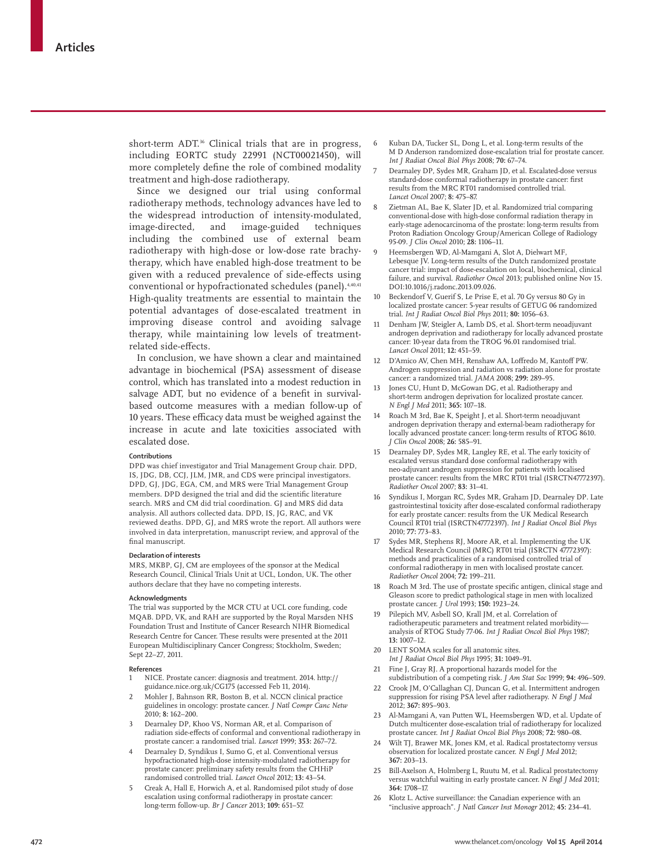short-term ADT.<sup>36</sup> Clinical trials that are in progress, including EORTC study 22991 (NCT00021450), will more completely define the role of combined modality treatment and high-dose radiotherapy.

Since we designed our trial using conformal radiotherapy methods, technology advances have led to the widespread introduction of intensity-modulated,<br>image-directed, and image-guided techniques image-directed, and image-guided techniques including the combined use of external beam radiotherapy with high-dose or low-dose rate brachytherapy, which have enabled high-dose treatment to be given with a reduced prevalence of side-effects using conventional or hypofractionated schedules (panel).<sup>4,40,41</sup> High-quality treatments are essential to maintain the potential advantages of dose-escalated treatment in improving disease control and avoiding salvage therapy, while maintaining low levels of treatmentrelated side-effects.

In conclusion, we have shown a clear and maintained advantage in biochemical (PSA) assessment of disease control, which has translated into a modest reduction in salvage ADT, but no evidence of a benefit in survivalbased outcome measures with a median follow-up of 10 years. These efficacy data must be weighed against the increase in acute and late toxicities associated with escalated dose.

#### **Contributions**

DPD was chief investigator and Trial Management Group chair. DPD, IS, JDG, DB, CCJ, JLM, JMR, and CDS were principal investigators. DPD, GJ, JDG, EGA, CM, and MRS were Trial Management Group members. DPD designed the trial and did the scientific literature search. MRS and CM did trial coordination. GJ and MRS did data analysis. All authors collected data. DPD, IS, JG, RAC, and VK reviewed deaths. DPD, GJ, and MRS wrote the report. All authors were involved in data interpretation, manuscript review, and approval of the final manuscript.

#### **Declaration of interests**

MRS, MKBP, GJ, CM are employees of the sponsor at the Medical Research Council, Clinical Trials Unit at UCL, London, UK. The other authors declare that they have no competing interests.

#### **Acknowledgments**

The trial was supported by the MCR CTU at UCL core funding, code MQAB. DPD, VK, and RAH are supported by the Royal Marsden NHS Foundation Trust and Institute of Cancer Research NIHR Biomedical Research Centre for Cancer. These results were presented at the 2011 European Multidisciplinary Cancer Congress; Stockholm, Sweden; Sept 22–27, 2011.

#### **Reference s**

1 NICE. Prostate cancer: diagnosis and treatment. 2014. http:// guidance.nice.org.uk/CG175 (accessed Feb 11, 2014).

- 2 Mohler J, Bahnson RR, Boston B, et al. NCCN clinical practice guidelines in oncology: prostate cancer. *J Natl Compr Canc Netw* 2010; **8:** 162–200.
- 3 Dearnaley DP, Khoo VS, Norman AR, et al. Comparison of radiation side-effects of conformal and conventional radiotherapy in prostate cancer: a randomised trial. *Lancet* 1999; **353:** 267–72.
- 4 Dearnaley D, Syndikus I, Sumo G, et al. Conventional versus hypofractionated high-dose intensity-modulated radiotherapy for prostate cancer: preliminary safety results from the CHHiP randomised controlled trial. *Lancet Oncol* 2012; **13:** 43–54.
- 5 Creak A, Hall E, Horwich A, et al. Randomised pilot study of dose escalation using conformal radiotherapy in prostate cancer: long-term follow-up. *Br J Cancer* 2013; **109:** 651–57.
- 6 Kuban DA, Tucker SL, Dong L, et al. Long-term results of the M D Anderson randomized dose-escalation trial for prostate cancer. *Int J Radiat Oncol Biol Phys* 2008; **70:** 67–74.
- 7 Dearnaley DP, Sydes MR, Graham JD, et al. Escalated-dose versus standard-dose conformal radiotherapy in prostate cancer: first results from the MRC RT01 randomised controlled trial. *Lancet Oncol* 2007; **8:** 475–87.
- Zietman AL, Bae K, Slater JD, et al. Randomized trial comparing conventional-dose with high-dose conformal radiation therapy in early-stage adenocarcinoma of the prostate: long-term results from Proton Radiation Oncology Group/American College of Radiology 95-09. *J Clin Oncol* 2010; **28:** 1106–11.
- 9 Heemsbergen WD, Al-Mamgani A, Slot A, Dielwart MF, Lebesque JV. Long-term results of the Dutch randomized prostate cancer trial: impact of dose-escalation on local, biochemical, clinical failure, and survival. *Radiother Oncol* 2013; published online Nov 15. DOI:10.1016/j.radonc.2013.09.026.
- 10 Beckendorf V, Guerif S, Le Prise E, et al. 70 Gy versus 80 Gy in localized prostate cancer: 5-year results of GETUG 06 randomized trial. *Int J Radiat Oncol Biol Phys* 2011; **80:** 1056–63.
- 11 Denham JW, Steigler A, Lamb DS, et al. Short-term neoadjuvant androgen deprivation and radiotherapy for locally advanced prostate cancer: 10-year data from the TROG 96.01 randomised trial. *Lancet Oncol* 2011; **12:** 451–59.
- 12 D'Amico AV, Chen MH, Renshaw AA, Loffredo M, Kantoff PW. Androgen suppression and radiation vs radiation alone for prostate cancer: a randomized trial. *JAMA* 2008; **299:** 289–95.
- 13 Jones CU, Hunt D, McGowan DG, et al. Radiotherapy and short-term androgen deprivation for localized prostate cancer. *N Engl J Med* 2011; **365:** 107–18.
- 14 Roach M 3rd, Bae K, Speight J, et al. Short-term neoadjuvant androgen deprivation therapy and external-beam radiotherapy for locally advanced prostate cancer: long-term results of RTOG 8610. *J Clin Oncol* 2008; **26:** 585–91.
- 15 Dearnaley DP, Sydes MR, Langley RE, et al. The early toxicity of escalated versus standard dose conformal radiotherapy with neo-adjuvant androgen suppression for patients with localised prostate cancer: results from the MRC RT01 trial (ISRCTN47772397). *Radiother Oncol* 2007; **83:** 31–41.
- 16 Syndikus I, Morgan RC, Sydes MR, Graham JD, Dearnaley DP. Late gastrointestinal toxicity after dose-escalated conformal radiotherapy for early prostate cancer: results from the UK Medical Research Council RT01 trial (ISRCTN47772397). *Int J Radiat Oncol Biol Phys* 2010; **77:** 773–83.
- 17 Sydes MR, Stephens RJ, Moore AR, et al. Implementing the UK Medical Research Council (MRC) RT01 trial (ISRCTN 47772397): methods and practicalities of a randomised controlled trial of conformal radiotherapy in men with localised prostate cancer. *Radiother Oncol* 2004; **72:** 199–211.
- 18 Roach M 3rd. The use of prostate specific antigen, clinical stage and Gleason score to predict pathological stage in men with localized prostate cancer. *J Urol* 1993; **150:** 1923–24.
- 19 Pilepich MV, Asbell SO, Krall JM, et al. Correlation of radiotherapeutic parameters and treatment related morbidity analysis of RTOG Study 77-06. *Int J Radiat Oncol Biol Phys* 1987; **13:** 1007–12.
- 20 LENT SOMA scales for all anatomic sites. *Int J Radiat Oncol Biol Phys* 1995; **31:** 1049–91.
- Fine J, Gray RJ. A proportional hazards model for the subdistribution of a competing risk. *J Am Stat Soc* 1999; **94:** 496–509.
- 22 Crook JM, O'Callaghan CJ, Duncan G, et al. Intermittent androgen suppression for rising PSA level after radiotherapy. *N Engl J Med* 2012; **367:** 895–903.
- 23 Al-Mamgani A, van Putten WL, Heemsbergen WD, et al. Update of Dutch multicenter dose-escalation trial of radiotherapy for localized prostate cancer. *Int J Radiat Oncol Biol Phys* 2008; **72:** 980–08.
- 24 Wilt TJ, Brawer MK, Jones KM, et al. Radical prostatectomy versus observation for localized prostate cancer. *N Engl J Med* 2012; **367:** 203–13.
- Bill-Axelson A, Holmberg L, Ruutu M, et al. Radical prostatectomy versus watchful waiting in early prostate cancer. *N Engl J Med* 2011; **364:** 1708–17.
- 26 Klotz L. Active surveillance: the Canadian experience with an "inclusive approach". *J Natl Cancer Inst Monogr* 2012; **45:** 234–41.